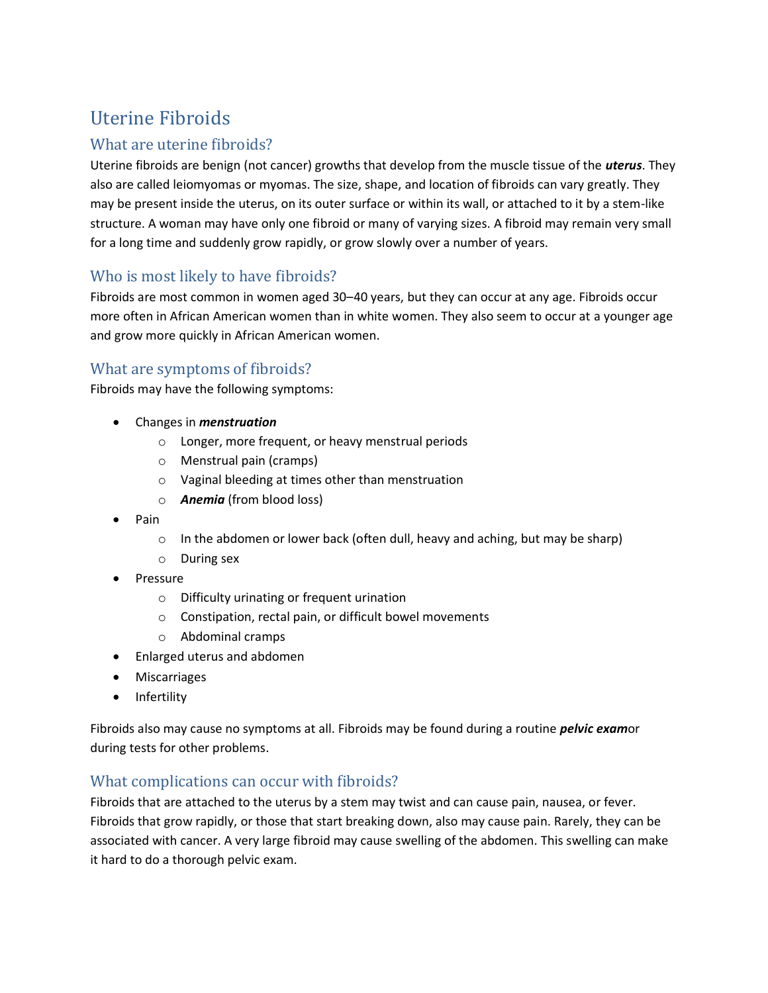# Uterine Fibroids

# What are uterine fibroids?

Uterine fibroids are benign (not cancer) growths that develop from the muscle tissue of the *uterus*. They also are called leiomyomas or myomas. The size, shape, and location of fibroids can vary greatly. They may be present inside the uterus, on its outer surface or within its wall, or attached to it by a stem-like structure. A woman may have only one fibroid or many of varying sizes. A fibroid may remain very small for a long time and suddenly grow rapidly, or grow slowly over a number of years.

# Who is most likely to have fibroids?

Fibroids are most common in women aged 30–40 years, but they can occur at any age. Fibroids occur more often in African American women than in white women. They also seem to occur at a younger age and grow more quickly in African American women.

# What are symptoms of fibroids?

Fibroids may have the following symptoms:

- Changes in *menstruation*
	- o Longer, more frequent, or heavy menstrual periods
	- o Menstrual pain (cramps)
	- o Vaginal bleeding at times other than menstruation
	- o *Anemia* (from blood loss)
- Pain
	- $\circ$  In the abdomen or lower back (often dull, heavy and aching, but may be sharp)
	- o During sex
- Pressure
	- o Difficulty urinating or frequent urination
	- o Constipation, rectal pain, or difficult bowel movements
	- o Abdominal cramps
- Enlarged uterus and abdomen
- Miscarriages
- Infertility

Fibroids also may cause no symptoms at all. Fibroids may be found during a routine *pelvic exam*or during tests for other problems.

## What complications can occur with fibroids?

Fibroids that are attached to the uterus by a stem may twist and can cause pain, nausea, or fever. Fibroids that grow rapidly, or those that start breaking down, also may cause pain. Rarely, they can be associated with cancer. A very large fibroid may cause swelling of the abdomen. This swelling can make it hard to do a thorough pelvic exam.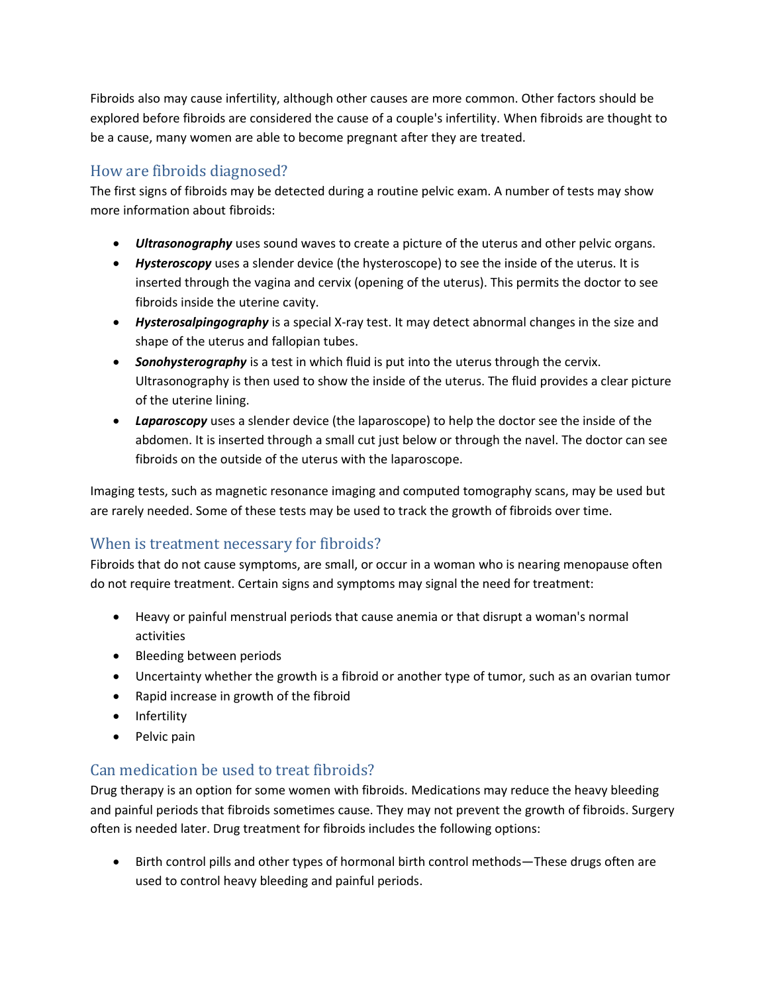Fibroids also may cause infertility, although other causes are more common. Other factors should be explored before fibroids are considered the cause of a couple's infertility. When fibroids are thought to be a cause, many women are able to become pregnant after they are treated.

# How are fibroids diagnosed?

The first signs of fibroids may be detected during a routine pelvic exam. A number of tests may show more information about fibroids:

- *Ultrasonography* uses sound waves to create a picture of the uterus and other pelvic organs.
- *Hysteroscopy* uses a slender device (the hysteroscope) to see the inside of the uterus. It is inserted through the vagina and cervix (opening of the uterus). This permits the doctor to see fibroids inside the uterine cavity.
- *Hysterosalpingography* is a special X-ray test. It may detect abnormal changes in the size and shape of the uterus and fallopian tubes.
- **Sonohysterography** is a test in which fluid is put into the uterus through the cervix. Ultrasonography is then used to show the inside of the uterus. The fluid provides a clear picture of the uterine lining.
- *Laparoscopy* uses a slender device (the laparoscope) to help the doctor see the inside of the abdomen. It is inserted through a small cut just below or through the navel. The doctor can see fibroids on the outside of the uterus with the laparoscope.

Imaging tests, such as magnetic resonance imaging and computed tomography scans, may be used but are rarely needed. Some of these tests may be used to track the growth of fibroids over time.

# When is treatment necessary for fibroids?

Fibroids that do not cause symptoms, are small, or occur in a woman who is nearing menopause often do not require treatment. Certain signs and symptoms may signal the need for treatment:

- Heavy or painful menstrual periods that cause anemia or that disrupt a woman's normal activities
- Bleeding between periods
- Uncertainty whether the growth is a fibroid or another type of tumor, such as an ovarian tumor
- Rapid increase in growth of the fibroid
- Infertility
- Pelvic pain

## Can medication be used to treat fibroids?

Drug therapy is an option for some women with fibroids. Medications may reduce the heavy bleeding and painful periods that fibroids sometimes cause. They may not prevent the growth of fibroids. Surgery often is needed later. Drug treatment for fibroids includes the following options:

• Birth control pills and other types of hormonal birth control methods—These drugs often are used to control heavy bleeding and painful periods.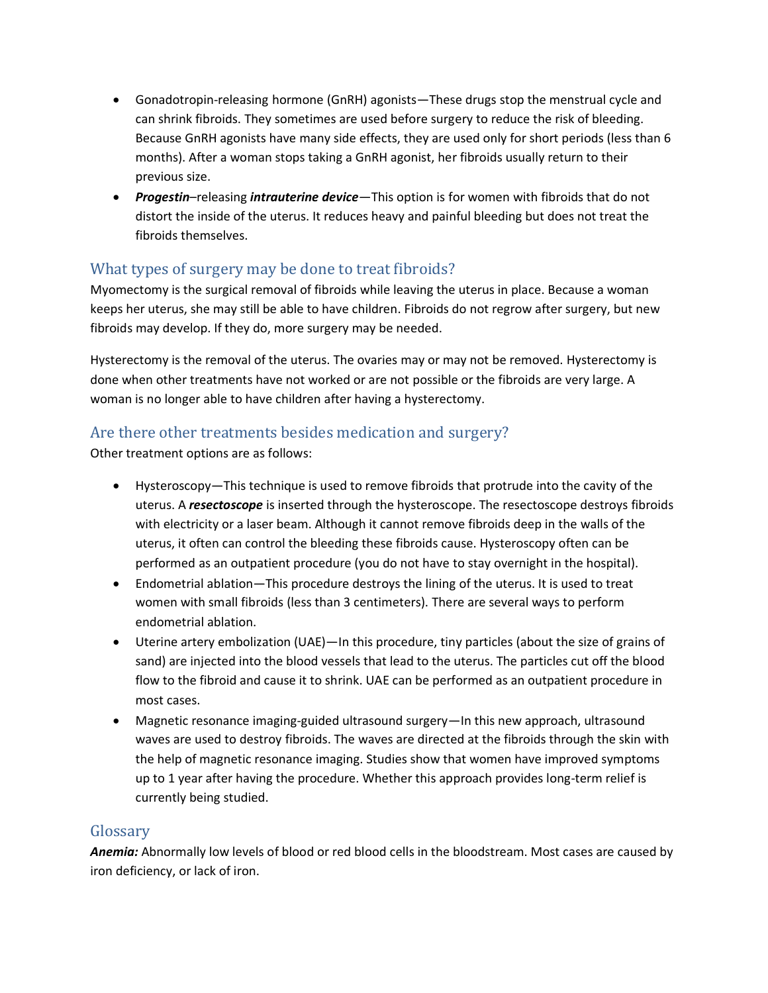- Gonadotropin-releasing hormone (GnRH) agonists—These drugs stop the menstrual cycle and can shrink fibroids. They sometimes are used before surgery to reduce the risk of bleeding. Because GnRH agonists have many side effects, they are used only for short periods (less than 6 months). After a woman stops taking a GnRH agonist, her fibroids usually return to their previous size.
- *Progestin*–releasing *intrauterine device*—This option is for women with fibroids that do not distort the inside of the uterus. It reduces heavy and painful bleeding but does not treat the fibroids themselves.

# What types of surgery may be done to treat fibroids?

Myomectomy is the surgical removal of fibroids while leaving the uterus in place. Because a woman keeps her uterus, she may still be able to have children. Fibroids do not regrow after surgery, but new fibroids may develop. If they do, more surgery may be needed.

Hysterectomy is the removal of the uterus. The ovaries may or may not be removed. Hysterectomy is done when other treatments have not worked or are not possible or the fibroids are very large. A woman is no longer able to have children after having a hysterectomy.

## Are there other treatments besides medication and surgery?

Other treatment options are as follows:

- Hysteroscopy—This technique is used to remove fibroids that protrude into the cavity of the uterus. A *resectoscope* is inserted through the hysteroscope. The resectoscope destroys fibroids with electricity or a laser beam. Although it cannot remove fibroids deep in the walls of the uterus, it often can control the bleeding these fibroids cause. Hysteroscopy often can be performed as an outpatient procedure (you do not have to stay overnight in the hospital).
- Endometrial ablation—This procedure destroys the lining of the uterus. It is used to treat women with small fibroids (less than 3 centimeters). There are several ways to perform endometrial ablation.
- Uterine artery embolization (UAE)—In this procedure, tiny particles (about the size of grains of sand) are injected into the blood vessels that lead to the uterus. The particles cut off the blood flow to the fibroid and cause it to shrink. UAE can be performed as an outpatient procedure in most cases.
- Magnetic resonance imaging-guided ultrasound surgery—In this new approach, ultrasound waves are used to destroy fibroids. The waves are directed at the fibroids through the skin with the help of magnetic resonance imaging. Studies show that women have improved symptoms up to 1 year after having the procedure. Whether this approach provides long-term relief is currently being studied.

## Glossary

*Anemia:* Abnormally low levels of blood or red blood cells in the bloodstream. Most cases are caused by iron deficiency, or lack of iron.